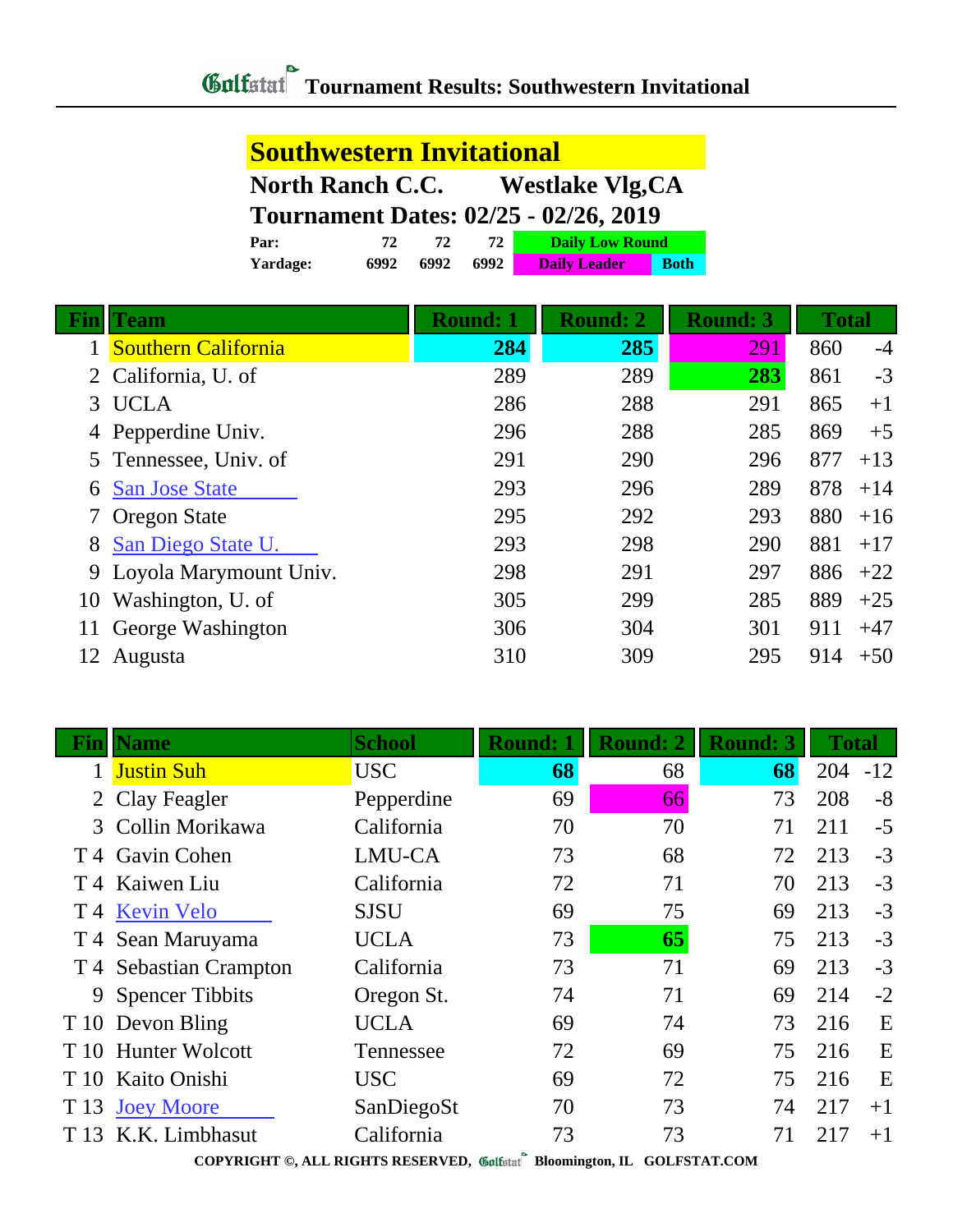| <b>Southwestern Invitational</b>                   |      |      |      |                     |             |  |  |
|----------------------------------------------------|------|------|------|---------------------|-------------|--|--|
| <b>Westlake Vlg, CA</b><br><b>North Ranch C.C.</b> |      |      |      |                     |             |  |  |
| <b>Tournament Dates: 02/25 - 02/26, 2019</b>       |      |      |      |                     |             |  |  |
| <b>Daily Low Round</b><br>Par:<br>72<br>72<br>72   |      |      |      |                     |             |  |  |
| Yardage:                                           | 6992 | 6992 | 6992 | <b>Daily Leader</b> | <b>Both</b> |  |  |

|    | Team                       | <b>Round: 1</b> | <b>Round: 2</b> | <b>Round: 3</b> | <b>Total</b> |       |
|----|----------------------------|-----------------|-----------------|-----------------|--------------|-------|
|    | <b>Southern California</b> | 284             | 285             | 291             | 860          | $-4$  |
|    | 2 California, U. of        | 289             | 289             | 283             | 861          | $-3$  |
| 3  | <b>UCLA</b>                | 286             | 288             | 291             | 865          | $+1$  |
|    | 4 Pepperdine Univ.         | 296             | 288             | 285             | 869          | $+5$  |
|    | 5 Tennessee, Univ. of      | 291             | 290             | 296             | 877          | $+13$ |
| 6  | <b>San Jose State</b>      | 293             | 296             | 289             | 878          | $+14$ |
|    | 7 Oregon State             | 295             | 292             | 293             | 880          | $+16$ |
| 8  | San Diego State U.         | 293             | 298             | 290             | 881          | $+17$ |
|    | 9 Loyola Marymount Univ.   | 298             | 291             | 297             | 886          | $+22$ |
| 10 | Washington, U. of          | 305             | 299             | 285             | 889          | $+25$ |
|    | George Washington          | 306             | 304             | 301             | 911          | $+47$ |
| 12 | Augusta                    | 310             | 309             | 295             | 914          | $+50$ |

|              | <b>Name</b>            | <b>School</b> | <b>Round: 1</b> | <b>Round: 2</b> | <b>Round: 3</b> | <b>Total</b> |       |
|--------------|------------------------|---------------|-----------------|-----------------|-----------------|--------------|-------|
|              | <b>Justin Suh</b>      | <b>USC</b>    | 68              | 68              | 68              | 204          | $-12$ |
| $\mathbf{2}$ | Clay Feagler           | Pepperdine    | 69              | 66              | 73              | 208          | $-8$  |
|              | 3 Collin Morikawa      | California    | 70              | 70              | 71              | 211          | $-5$  |
|              | T 4 Gavin Cohen        | LMU-CA        | 73              | 68              | 72              | 213          | $-3$  |
|              | T 4 Kaiwen Liu         | California    | 72              | 71              | 70              | 213          | $-3$  |
|              | T 4 Kevin Velo         | <b>SJSU</b>   | 69              | 75              | 69              | 213          | $-3$  |
|              | T 4 Sean Maruyama      | <b>UCLA</b>   | 73              | 65              | 75              | 213          | $-3$  |
|              | T 4 Sebastian Crampton | California    | 73              | 71              | 69              | 213          | $-3$  |
|              | 9 Spencer Tibbits      | Oregon St.    | 74              | 71              | 69              | 214          | $-2$  |
|              | T 10 Devon Bling       | <b>UCLA</b>   | 69              | 74              | 73              | 216          | E     |
| T 10         | <b>Hunter Wolcott</b>  | Tennessee     | 72              | 69              | 75              | 216          | E     |
|              | T 10 Kaito Onishi      | <b>USC</b>    | 69              | 72              | 75              | 216          | E     |
| T 13         | <b>Joey Moore</b>      | SanDiegoSt    | 70              | 73              | 74              | 217          | $+1$  |
| T 13         | K.K. Limbhasut         | California    | 73              | 73              | 71              | 217          | $+1$  |

**COPYRIGHT ©, ALL RIGHTS RESERVED, Bloomington, IL GOLFSTAT.COM**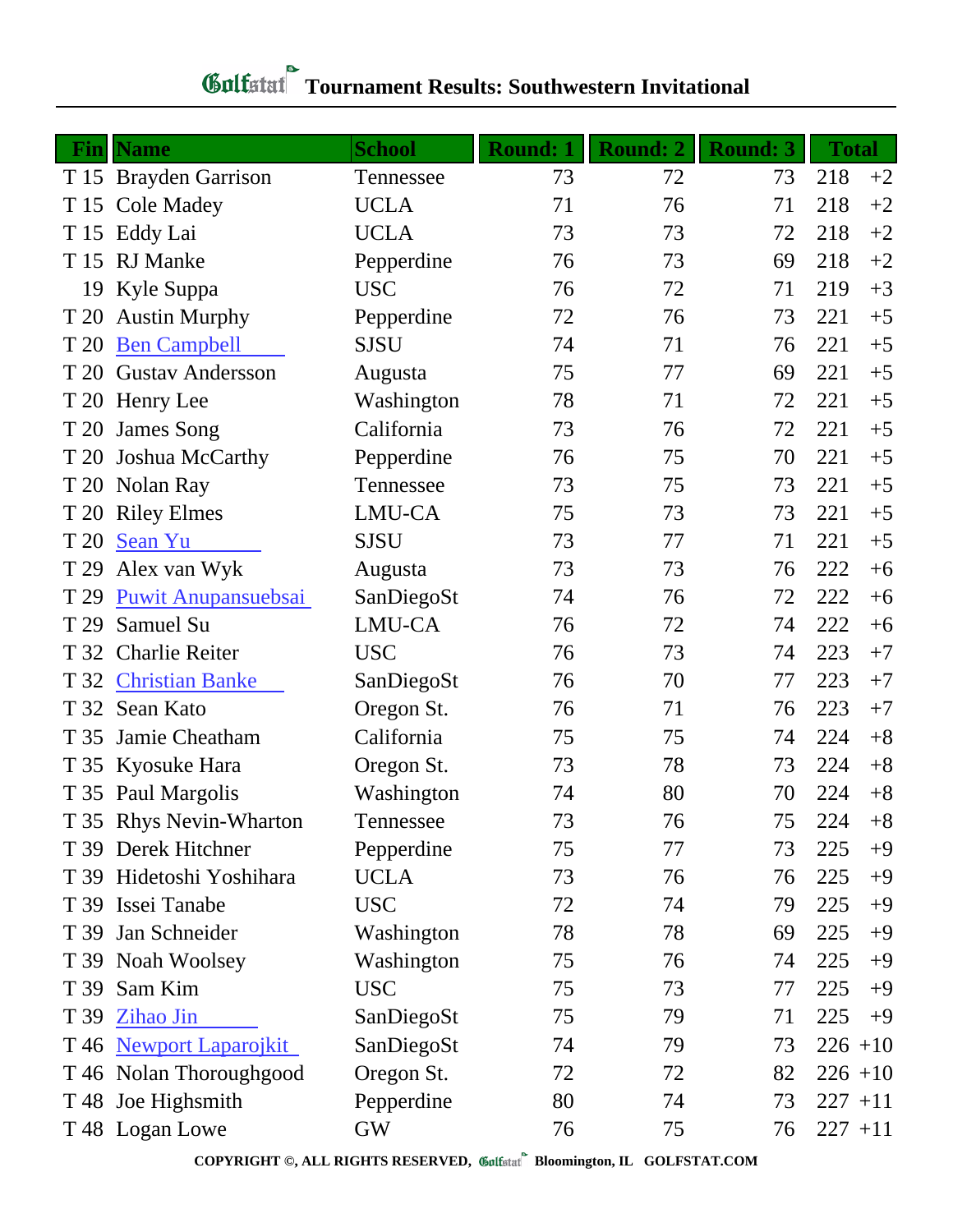## **Tournament Results: Southwestern Invitational**

|      | <b>Fin</b> Name            | <b>School</b> | <b>Round: 1</b> | <b>Round: 2</b> | <b>Round: 3</b> | <b>Total</b> |      |
|------|----------------------------|---------------|-----------------|-----------------|-----------------|--------------|------|
|      | T 15 Brayden Garrison      | Tennessee     | 73              | 72              | 73              | 218          | $+2$ |
|      | T 15 Cole Madey            | <b>UCLA</b>   | 71              | 76              | 71              | 218          | $+2$ |
|      | T 15 Eddy Lai              | <b>UCLA</b>   | 73              | 73              | 72              | 218          | $+2$ |
| T 15 | <b>RJ</b> Manke            | Pepperdine    | 76              | 73              | 69              | 218          | $+2$ |
| 19   | Kyle Suppa                 | <b>USC</b>    | 76              | 72              | 71              | 219          | $+3$ |
| T 20 | <b>Austin Murphy</b>       | Pepperdine    | 72              | 76              | 73              | 221          | $+5$ |
| T 20 | <b>Ben Campbell</b>        | <b>SJSU</b>   | 74              | 71              | 76              | 221          | $+5$ |
| T 20 | <b>Gustav Andersson</b>    | Augusta       | 75              | 77              | 69              | 221          | $+5$ |
|      | T 20 Henry Lee             | Washington    | 78              | 71              | 72              | 221          | $+5$ |
| T 20 | James Song                 | California    | 73              | 76              | 72              | 221          | $+5$ |
|      | T 20 Joshua McCarthy       | Pepperdine    | 76              | 75              | 70              | 221          | $+5$ |
|      | T 20 Nolan Ray             | Tennessee     | 73              | 75              | 73              | 221          | $+5$ |
|      | T 20 Riley Elmes           | LMU-CA        | 75              | 73              | 73              | 221          | $+5$ |
| T 20 | Sean Yu                    | <b>SJSU</b>   | 73              | 77              | 71              | 221          | $+5$ |
| T 29 | Alex van Wyk               | Augusta       | 73              | 73              | 76              | 222          | $+6$ |
| T 29 | <b>Puwit Anupansuebsai</b> | SanDiegoSt    | 74              | 76              | 72              | 222          | $+6$ |
| T 29 | Samuel Su                  | LMU-CA        | 76              | 72              | 74              | 222          | $+6$ |
| T 32 | <b>Charlie Reiter</b>      | <b>USC</b>    | 76              | 73              | 74              | 223          | $+7$ |
| T 32 | <b>Christian Banke</b>     | SanDiegoSt    | 76              | 70              | 77              | 223          | $+7$ |
| T 32 | Sean Kato                  | Oregon St.    | 76              | 71              | 76              | 223          | $+7$ |
| T 35 | Jamie Cheatham             | California    | 75              | 75              | 74              | 224          | $+8$ |
|      | T 35 Kyosuke Hara          | Oregon St.    | 73              | 78              | 73              | 224          | $+8$ |
|      | T 35 Paul Margolis         | Washington    | 74              | 80              | 70              | 224          | $+8$ |
|      | T 35 Rhys Nevin-Wharton    | Tennessee     | 73              | 76              | 75              | 224          | $+8$ |
|      | T 39 Derek Hitchner        | Pepperdine    | 75              | 77              | 73              | 225          | $+9$ |
|      | T 39 Hidetoshi Yoshihara   | <b>UCLA</b>   | 73              | 76              | 76              | 225          | $+9$ |
|      | T 39 Issei Tanabe          | <b>USC</b>    | 72              | 74              | 79              | 225          | $+9$ |
|      | T 39 Jan Schneider         | Washington    | 78              | 78              | 69              | 225          | $+9$ |
|      | T 39 Noah Woolsey          | Washington    | 75              | 76              | 74              | 225          | $+9$ |
|      | T 39 Sam Kim               | <b>USC</b>    | 75              | 73              | 77              | 225          | $+9$ |
|      | T 39 Zihao Jin             | SanDiegoSt    | 75              | 79              | 71              | 225          | $+9$ |
|      | T 46 Newport Laparojkit    | SanDiegoSt    | 74              | 79              | 73              | $226 + 10$   |      |
|      | T 46 Nolan Thoroughgood    | Oregon St.    | 72              | 72              | 82              | $226 + 10$   |      |
|      | T 48 Joe Highsmith         | Pepperdine    | 80              | 74              | 73              | $227 + 11$   |      |
|      | T 48 Logan Lowe            | <b>GW</b>     | 76              | 75              | 76              | $227 + 11$   |      |